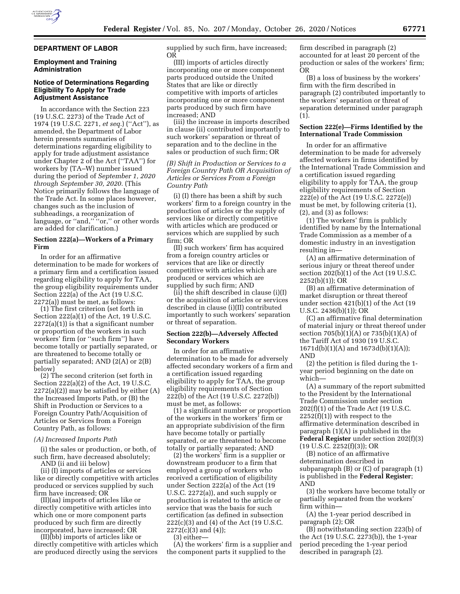

## **DEPARTMENT OF LABOR**

## **Employment and Training Administration**

## **Notice of Determinations Regarding Eligibility To Apply for Trade Adjustment Assistance**

In accordance with the Section 223 (19 U.S.C. 2273) of the Trade Act of 1974 (19 U.S.C. 2271, *et seq.*) (''Act''), as amended, the Department of Labor herein presents summaries of determinations regarding eligibility to apply for trade adjustment assistance under Chapter 2 of the Act (''TAA'') for workers by (TA–W) number issued during the period of *September 1, 2020 through September 30, 2020.* (This Notice primarily follows the language of the Trade Act. In some places however, changes such as the inclusion of subheadings, a reorganization of language, or "and," "or," or other words are added for clarification.)

## **Section 222(a)—Workers of a Primary Firm**

In order for an affirmative determination to be made for workers of a primary firm and a certification issued regarding eligibility to apply for TAA, the group eligibility requirements under Section 222(a) of the Act (19 U.S.C. 2272(a)) must be met, as follows:

(1) The first criterion (set forth in Section 222(a)(1) of the Act, 19 U.S.C. 2272(a)(1)) is that a significant number or proportion of the workers in such workers' firm (or ''such firm'') have become totally or partially separated, or are threatened to become totally or partially separated; AND (2(A) or 2(B) below)

(2) The second criterion (set forth in Section 222(a)(2) of the Act, 19 U.S.C.  $2272(a)(2)$  may be satisfied by either  $(A)$ the Increased Imports Path, or (B) the Shift in Production or Services to a Foreign Country Path/Acquisition of Articles or Services from a Foreign Country Path, as follows:

#### *(A) Increased Imports Path*

(i) the sales or production, or both, of such firm, have decreased absolutely; AND (ii and iii below)

(ii) (I) imports of articles or services like or directly competitive with articles produced or services supplied by such firm have increased; OR

(II)(aa) imports of articles like or directly competitive with articles into which one or more component parts produced by such firm are directly incorporated, have increased; OR

(II)(bb) imports of articles like or directly competitive with articles which are produced directly using the services

supplied by such firm, have increased; OR

(III) imports of articles directly incorporating one or more component parts produced outside the United States that are like or directly competitive with imports of articles incorporating one or more component parts produced by such firm have increased; AND

(iii) the increase in imports described in clause (ii) contributed importantly to such workers' separation or threat of separation and to the decline in the sales or production of such firm; OR

*(B) Shift in Production or Services to a Foreign Country Path OR Acquisition of Articles or Services From a Foreign Country Path* 

(i) (I) there has been a shift by such workers' firm to a foreign country in the production of articles or the supply of services like or directly competitive with articles which are produced or services which are supplied by such firm; OR

(II) such workers' firm has acquired from a foreign country articles or services that are like or directly competitive with articles which are produced or services which are supplied by such firm; AND

 $(i)$  the shift described in clause  $(i)(I)$ or the acquisition of articles or services described in clause (i)(II) contributed importantly to such workers' separation or threat of separation.

## **Section 222(b)—Adversely Affected Secondary Workers**

In order for an affirmative determination to be made for adversely affected secondary workers of a firm and a certification issued regarding eligibility to apply for TAA, the group eligibility requirements of Section 222(b) of the Act (19 U.S.C. 2272(b)) must be met, as follows:

(1) a significant number or proportion of the workers in the workers' firm or an appropriate subdivision of the firm have become totally or partially separated, or are threatened to become totally or partially separated; AND

(2) the workers' firm is a supplier or downstream producer to a firm that employed a group of workers who received a certification of eligibility under Section 222(a) of the Act (19 U.S.C. 2272(a)), and such supply or production is related to the article or service that was the basis for such certification (as defined in subsection 222(c)(3) and (4) of the Act (19 U.S.C.  $2272(c)(3)$  and  $(4)$ );

(3) either—

(A) the workers' firm is a supplier and the component parts it supplied to the

firm described in paragraph (2) accounted for at least 20 percent of the production or sales of the workers' firm; OR

(B) a loss of business by the workers' firm with the firm described in paragraph (2) contributed importantly to the workers' separation or threat of separation determined under paragraph (1).

## **Section 222(e)—Firms Identified by the International Trade Commission**

In order for an affirmative determination to be made for adversely affected workers in firms identified by the International Trade Commission and a certification issued regarding eligibility to apply for TAA, the group eligibility requirements of Section 222(e) of the Act (19 U.S.C. 2272(e)) must be met, by following criteria (1), (2), and (3) as follows:

(1) The workers' firm is publicly identified by name by the International Trade Commission as a member of a domestic industry in an investigation resulting in—

(A) an affirmative determination of serious injury or threat thereof under section 202(b)(1) of the Act (19 U.S.C. 2252(b)(1)); OR

(B) an affirmative determination of market disruption or threat thereof under section 421(b)(1) of the Act (19 U.S.C. 2436(b)(1)); OR

(C) an affirmative final determination of material injury or threat thereof under section 705(b)(1)(A) or 735(b)(1)(A) of the Tariff Act of 1930 (19 U.S.C. 1671d(b)(1)(A) and 1673d(b)(1)(A)); AND

(2) the petition is filed during the 1 year period beginning on the date on which—

(A) a summary of the report submitted to the President by the International Trade Commission under section 202(f)(1) of the Trade Act (19 U.S.C.  $2252(f)(1)$ ) with respect to the affirmative determination described in paragraph (1)(A) is published in the **Federal Register** under section 202(f)(3) (19 U.S.C. 2252(f)(3)); OR

(B) notice of an affirmative determination described in subparagraph (B) or (C) of paragraph (1) is published in the **Federal Register**; AND

(3) the workers have become totally or partially separated from the workers' firm within—

(A) the 1-year period described in paragraph (2); OR

(B) notwithstanding section 223(b) of the Act (19 U.S.C. 2273(b)), the 1-year period preceding the 1-year period described in paragraph (2).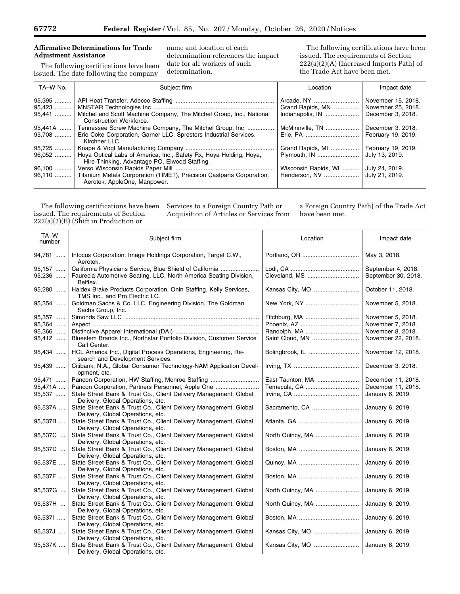## **Affirmative Determinations for Trade Adjustment Assistance**

The following certifications have been issued. The date following the company

name and location of each determination references the impact date for all workers of such determination.

The following certifications have been issued. The requirements of Section 222(a)(2)(A) (Increased Imports Path) of the Trade Act have been met.

| TA-W No.                   | Subject firm                                                                                                                                  | Location                                           | Impact date                                                   |
|----------------------------|-----------------------------------------------------------------------------------------------------------------------------------------------|----------------------------------------------------|---------------------------------------------------------------|
| 95,395<br>95,423<br>95,441 | Mitchel and Scott Machine Company, The Mitchel Group, Inc., National<br>Construction Workforce.                                               | Arcade, NY<br>Grand Rapids, MN<br>Indianapolis, IN | November 15, 2018.<br>November 25, 2018.<br>December 3, 2018. |
| 95.441A<br>95,708          | Tennessee Screw Machine Company, The Mitchel Group, Inc<br>Erie Coke Corporation, Garner LLC, Spresters Industrial Services,<br>Kirchner LLC. | McMinnville, TN                                    | December 3, 2018.<br>February 19, 2019.                       |
| 95,725                     |                                                                                                                                               | Grand Rapids, MI                                   | February 19, 2019.                                            |
| $96,052$                   | Hoya Optical Labs of America, Inc., Safety Rx, Hoya Holding, Hoya,<br>Hire Thinking, Advantage PO, Elwood Staffing.                           | Plymouth, IN                                       | July 13, 2019.                                                |
| 96,100                     | 96,110  Titanium Metals Corporation (TIMET), Precision Castparts Corporation,                                                                 | Wisconsin Rapids, WI                               | July 24, 2019.<br>July 21, 2019.                              |
|                            | Aerotek, AppleOne, Manpower.                                                                                                                  |                                                    |                                                               |

The following certifications have been issued. The requirements of Section 222(a)(2)(B) (Shift in Production or

Services to a Foreign Country Path or Acquisition of Articles or Services from a Foreign Country Path) of the Trade Act have been met.

L

| TA-W<br>number | Subject firm                                                                                           | Location         | Impact date         |
|----------------|--------------------------------------------------------------------------------------------------------|------------------|---------------------|
| 94,781         | Infocus Corporation, Image Holdings Corporation, Target C.W.,<br>Aerotek.                              |                  | May 3, 2018.        |
| 95,157         | California Physicians Service, Blue Shield of California                                               |                  | September 4, 2018.  |
| 95,236         | Faurecia Automotive Seating, LLC, North America Seating Division,<br>Belflex.                          |                  | September 30, 2018. |
| 95,280         | Haldex Brake Products Corporation, Onin Staffing, Kelly Services,<br>TMS Inc., and Pro Electric LC.    | Kansas City, MO  | October 11, 2018.   |
| 95,354         | Goldman Sachs & Co. LLC, Engineering Division, The Goldman<br>Sachs Group, Inc.                        |                  | November 5, 2018.   |
| 95,357         |                                                                                                        |                  | November 5, 2018.   |
| 95,364         |                                                                                                        |                  | November 7, 2018.   |
| 95,366         |                                                                                                        |                  | November 8, 2018.   |
| 95,412         | Bluestem Brands Inc., Northstar Portfolio Division, Customer Service                                   | Saint Cloud, MN  | November 22, 2018.  |
|                | Call Center.                                                                                           |                  |                     |
| 95,434         | HCL America Inc., Digital Process Operations, Engineering, Re-<br>search and Development Services.     | Bolingbrook, IL  | November 12, 2018.  |
| 95,439         | Citibank, N.A., Global Consumer Technology-NAM Application Devel-<br>opment, etc.                      |                  | December 3, 2018.   |
| 95,471         | Pancon Corporation, HW Staffing, Monroe Staffing                                                       | East Taunton, MA | December 11, 2018.  |
| 95,471A        | Pancon Corporation, Partners Personnel, Apple One                                                      |                  | December 11, 2018.  |
| 95,537         | State Street Bank & Trust Co., Client Delivery Management, Global<br>Delivery, Global Operations, etc. |                  | January 6, 2019.    |
| 95,537A        | State Street Bank & Trust Co., Client Delivery Management, Global<br>Delivery, Global Operations, etc. | Sacramento, CA   | January 6, 2019.    |
| 95,537B        | State Street Bank & Trust Co., Client Delivery Management, Global<br>Delivery, Global Operations, etc. |                  | January 6, 2019.    |
| 95,537C        | State Street Bank & Trust Co., Client Delivery Management, Global<br>Delivery, Global Operations, etc. | North Quincy, MA | January 6, 2019.    |
| 95,537D        | State Street Bank & Trust Co., Client Delivery Management, Global<br>Delivery, Global Operations, etc. |                  | January 6, 2019.    |
| 95,537E        | State Street Bank & Trust Co., Client Delivery Management, Global                                      |                  | January 6, 2019.    |
|                | Delivery, Global Operations, etc.                                                                      |                  |                     |
| 95,537F        | State Street Bank & Trust Co., Client Delivery Management, Global                                      |                  | January 6, 2019.    |
|                | Delivery, Global Operations, etc.                                                                      |                  |                     |
| 95,537G        | State Street Bank & Trust Co., Client Delivery Management, Global                                      | North Quincy, MA | January 6, 2019.    |
|                | Delivery, Global Operations, etc.                                                                      |                  |                     |
| 95,537H        | State Street Bank & Trust Co., Client Delivery Management, Global                                      |                  | January 6, 2019.    |
|                | Delivery, Global Operations, etc.                                                                      |                  |                     |
| 95,5371        | State Street Bank & Trust Co., Client Delivery Management, Global                                      |                  | January 6, 2019.    |
|                | Delivery, Global Operations, etc.                                                                      |                  |                     |
| 95,537J        | State Street Bank & Trust Co., Client Delivery Management, Global                                      | Kansas City, MO  | January 6, 2019.    |
|                | Delivery, Global Operations, etc.                                                                      |                  |                     |
| 95,537K        | State Street Bank & Trust Co., Client Delivery Management, Global<br>Delivery, Global Operations, etc. |                  | January 6, 2019.    |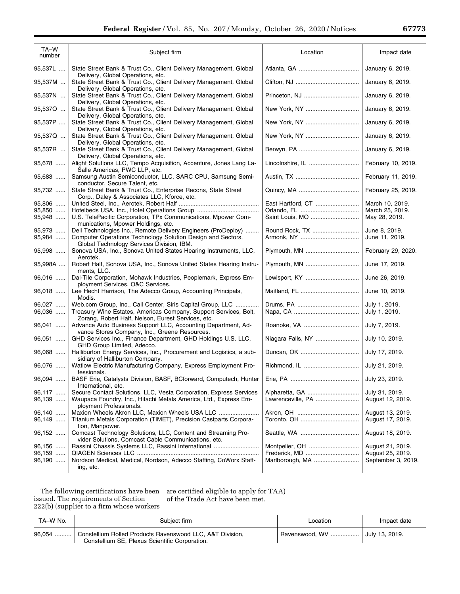| TA-W<br>number | Subject firm                                                                                                  | Location          | Impact date        |
|----------------|---------------------------------------------------------------------------------------------------------------|-------------------|--------------------|
| 95,537L        | State Street Bank & Trust Co., Client Delivery Management, Global<br>Delivery, Global Operations, etc.        |                   | January 6, 2019.   |
| 95,537M        | State Street Bank & Trust Co., Client Delivery Management, Global<br>Delivery, Global Operations, etc.        |                   | January 6, 2019.   |
| 95,537N        | State Street Bank & Trust Co., Client Delivery Management, Global<br>Delivery, Global Operations, etc.        |                   | January 6, 2019.   |
| 95,537O        | State Street Bank & Trust Co., Client Delivery Management, Global<br>Delivery, Global Operations, etc.        |                   | January 6, 2019.   |
| 95,537P        | State Street Bank & Trust Co., Client Delivery Management, Global<br>Delivery, Global Operations, etc.        |                   | January 6, 2019.   |
| 95,537Q        | State Street Bank & Trust Co., Client Delivery Management, Global<br>Delivery, Global Operations, etc.        | New York, NY      | January 6, 2019.   |
| 95,537R        | State Street Bank & Trust Co., Client Delivery Management, Global<br>Delivery, Global Operations, etc.        |                   | January 6, 2019.   |
| 95,678         | Alight Solutions LLC, Tempo Acquisition, Accenture, Jones Lang La-<br>Salle Americas, PWC LLP, etc.           |                   | February 10, 2019. |
| 95,683         | Samsung Austin Semiconductor, LLC, SARC CPU, Samsung Semi-<br>conductor, Secure Talent, etc.                  |                   | February 11, 2019. |
| 95,732         | State Street Bank & Trust Co., Enterprise Recons, State Street<br>Corp., Daley & Associates LLC, Kforce, etc. |                   | February 25, 2019. |
| 95,806         |                                                                                                               | East Hartford, CT | March 10, 2019.    |
| 95,850         |                                                                                                               |                   | March 25, 2019.    |
| $95.948$       | U.S. TelePacific Corporation, TPx Communications, Mpower Com-<br>munications, Mpower Holdings, etc.           |                   | May 28, 2019.      |
| 95,973         | Dell Technologies Inc., Remote Delivery Engineers (ProDeploy)                                                 |                   | June 8, 2019.      |
| 95,984         | Computer Operations Technology Solution Design and Sectors,<br>Global Technology Services Division, IBM.      |                   | June 11, 2019.     |
| 95,998         | Sonova USA, Inc., Sonova United States Hearing Instruments, LLC,<br>Aerotek.                                  | Plymouth, MN      | February 29, 2020. |
|                |                                                                                                               |                   |                    |

| 95,537Q | State Street Bank & Trust Co., Client Delivery Management, Global<br>Delivery, Global Operations, etc.                 | New York, NY      | January 6, 2019.   |
|---------|------------------------------------------------------------------------------------------------------------------------|-------------------|--------------------|
| 95,537R | State Street Bank & Trust Co., Client Delivery Management, Global<br>Delivery, Global Operations, etc.                 |                   | January 6, 2019.   |
| 95,678  | Alight Solutions LLC, Tempo Acquisition, Accenture, Jones Lang La-<br>Salle Americas, PWC LLP, etc.                    | Lincolnshire, IL  | February 10, 2019. |
| 95,683  | Samsung Austin Semiconductor, LLC, SARC CPU, Samsung Semi-<br>conductor, Secure Talent, etc.                           |                   | February 11, 2019. |
| 95,732  | State Street Bank & Trust Co., Enterprise Recons, State Street<br>Corp., Daley & Associates LLC, Kforce, etc.          |                   | February 25, 2019. |
| 95,806  |                                                                                                                        | East Hartford, CT | March 10, 2019.    |
| 95,850  |                                                                                                                        |                   | March 25, 2019.    |
| 95,948  | U.S. TelePacific Corporation, TPx Communications, Mpower Com-<br>munications, Mpower Holdings, etc.                    | Saint Louis, MO   | May 28, 2019.      |
| 95,973  | Dell Technologies Inc., Remote Delivery Engineers (ProDeploy)                                                          |                   | June 8, 2019.      |
| 95,984  | Computer Operations Technology Solution Design and Sectors,<br>Global Technology Services Division, IBM.               |                   | June 11, 2019.     |
| 95,998  | Sonova USA, Inc., Sonova United States Hearing Instruments, LLC,<br>Aerotek.                                           | Plymouth, MN      | February 29, 2020. |
| 95,998A | Robert Half, Sonova USA, Inc., Sonova United States Hearing Instru-<br>ments, LLC.                                     | Plymouth, MN      | June 17, 2019.     |
| 96,016  | Dal-Tile Corporation, Mohawk Industries, Peoplemark, Express Em-<br>ployment Services, O&C Services.                   | Lewisport, KY     | June 26, 2019.     |
| 96,018  | Lee Hecht Harrison, The Adecco Group, Accounting Principals,<br>Modis.                                                 |                   | June 10, 2019.     |
| 96,027  | Web.com Group, Inc., Call Center, Siris Capital Group, LLC                                                             |                   | July 1, 2019.      |
| 96,036  | Treasury Wine Estates, Americas Company, Support Services, Bolt,<br>Zorang, Robert Half, Nelson, Eurest Services, etc. |                   | July 1, 2019.      |
| 96,041  | Advance Auto Business Support LLC, Accounting Department, Ad-<br>vance Stores Company, Inc., Greene Resources.         | Roanoke, VA       | July 7, 2019.      |
| 96,051  | GHD Services Inc., Finance Department, GHD Holdings U.S. LLC,<br>GHD Group Limited, Adecco.                            | Niagara Falls, NY | July 10, 2019.     |
| 96,068  | Halliburton Energy Services, Inc., Procurement and Logistics, a sub-<br>sidiary of Halliburton Company.                |                   | July 17, 2019.     |
| 96,076  | Watlow Electric Manufacturing Company, Express Employment Pro-<br>fessionals.                                          |                   | July 21, 2019.     |
| 96,094  | BASF Erie, Catalysts Division, BASF, BCforward, Computech, Hunter<br>International, etc.                               |                   | July 23, 2019.     |
| 96,117  | Secure Contact Solutions, LLC, Vesta Corporation, Express Services                                                     | Alpharetta, GA    | July 31, 2019.     |
| 96,139  | Waupaca Foundry, Inc., Hitachi Metals America, Ltd., Express Em-<br>ployment Professionals.                            | Lawrenceville, PA | August 12, 2019.   |
| 96,140  |                                                                                                                        |                   | August 13, 2019.   |
| 96,149  | Titanium Metals Corporation (TIMET), Precision Castparts Corpora-<br>tion, Manpower.                                   |                   | August 17, 2019.   |
| 96,152  | Comcast Technology Solutions, LLC, Content and Streaming Pro-<br>vider Solutions, Comcast Cable Communications, etc.   |                   | August 18, 2019.   |
| 96,156  | Rassini Chassis Systems LLC, Rassini International                                                                     | Montpelier, OH    | August 21, 2019.   |
| 96,159  |                                                                                                                        |                   | August 25, 2019.   |
| 96,190  | Nordson Medical, Medical, Nordson, Adecco Staffing, CoWorx Staff-                                                      | Marlborough, MA   | September 3, 2019. |
|         | ing, etc.                                                                                                              |                   |                    |

The following certifications have been issued. The requirements of Section 222(b) (supplier to a firm whose workers are certified eligible to apply for TAA) of the Trade Act have been met.

| TA–W No. | Subiect firm                                                                                                        | Location                       | Impact date |
|----------|---------------------------------------------------------------------------------------------------------------------|--------------------------------|-------------|
|          | 96,054  Constellium Rolled Products Ravenswood LLC, A&T Division,<br>Constellium SE, Plexus Scientific Corporation. | Ravenswood, WV  July 13, 2019. |             |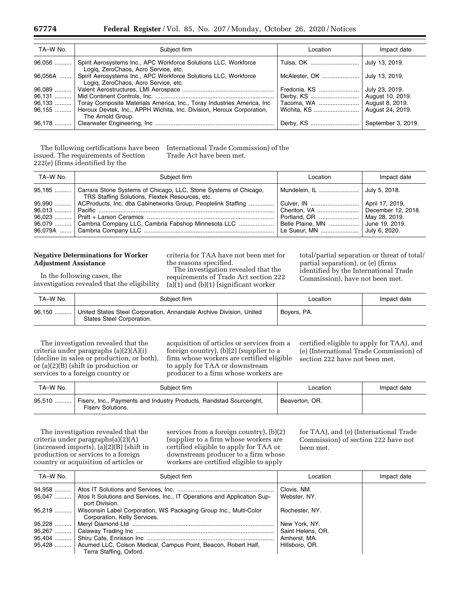| TA-W No.  | Subiect firm                                                                                            | Location     | Impact date      |
|-----------|---------------------------------------------------------------------------------------------------------|--------------|------------------|
| $96,056$  | Spirit Aerosystems Inc., APC Workforce Solutions LLC, Workforce<br>Logig, ZeroChaos, Acro Service, etc. |              |                  |
| $96,056A$ | Spirit Aerosystems Inc., APC Workforce Solutions LLC, Workforce<br>Logiq, ZeroChaos, Acro Service, etc. |              | July 13, 2019.   |
| 96,089    |                                                                                                         | Fredonia, KS | July 23, 2019.   |
| 96,131    |                                                                                                         |              | August 10, 2019. |
| 96,133    | Toray Composite Materials America, Inc., Toray Industries America, Inc.                                 | Tacoma, WA   | August 8, 2019.  |
| 96,155    | Heroux Devtek, Inc., APPH Wichita, Inc. Division, Heroux Corporation,                                   |              | August 24, 2019. |
|           | The Arnold Group.                                                                                       |              |                  |
| 96,178    |                                                                                                         |              |                  |

The following certifications have been issued. The requirements of Section 222(e) (firms identified by the

International Trade Commission) of the Trade Act have been met.

| TA-W No. | Subiect firm                                                                                                                         | Location                                                                                                | Impact date   |
|----------|--------------------------------------------------------------------------------------------------------------------------------------|---------------------------------------------------------------------------------------------------------|---------------|
|          | 95,185  Carrara Stone Systems of Chicago, LLC, Stone Systems of Chicago,<br>TRS Staffing Solutions, Flextek Resources, etc.          | Mundelein, IL    July 5, 2018.                                                                          |               |
|          | 95,990    ACProducts, Inc. dba Cabinetworks Group, Peoplelink Staffing<br>96,079  Cambria Company LLC, Cambria Fabshop Minnesota LLC | Culver, IN    April 17, 2019.<br>Cheriton, VA    December 12, 2018.<br>Belle Plaine, MN  June 19, 2019. | July 6, 2020. |

## **Negative Determinations for Worker Adjustment Assistance**

In the following cases, the investigation revealed that the eligibility criteria for TAA have not been met for the reasons specified.

The investigation revealed that the requirements of Trade Act section 222  $(a)(1)$  and  $(b)(1)$  (significant worker

total/partial separation or threat of total/ partial separation), or (e) (firms identified by the International Trade Commission), have not been met.

| TA-W No. | Subiect firm                                                                                     | Location    | Impact date |
|----------|--------------------------------------------------------------------------------------------------|-------------|-------------|
| 96,150   | United States Steel Corporation, Annandale Archive Division, United<br>States Steel Corporation. | Bovers, PA. |             |

The investigation revealed that the criteria under paragraphs (a)(2)(A)(i) (decline in sales or production, or both), or (a)(2)(B) (shift in production or services to a foreign country or

acquisition of articles or services from a foreign country), (b)(2) (supplier to a firm whose workers are certified eligible to apply for TAA or downstream producer to a firm whose workers are

certified eligible to apply for TAA), and (e) (International Trade Commission) of section 222 have not been met.

| TA-W No. | Subiect firm                                                                                    | Location       | Impact date |
|----------|-------------------------------------------------------------------------------------------------|----------------|-------------|
| 95,510   | Fisery, Inc., Payments and Industry Products, Randstad Sourceright,<br><b>Fisery Solutions.</b> | Beaverton, OR. |             |

The investigation revealed that the criteria under paragraphs(a)(2)(A) (increased imports), (a)(2)(B) (shift in production or services to a foreign country or acquisition of articles or

services from a foreign country), (b)(2) (supplier to a firm whose workers are certified eligible to apply for TAA or downstream producer to a firm whose workers are certified eligible to apply

for TAA), and (e) (International Trade Commission) of section 222 have not been met.

| TA-W No. | Subject firm                                                                                                | Location          | Impact date |
|----------|-------------------------------------------------------------------------------------------------------------|-------------------|-------------|
|          |                                                                                                             | Clovis, NM.       |             |
|          | 95,047  Atos It Solutions and Services, Inc., IT Operations and Application Sup-<br>port Division.          | Webster, NY.      |             |
|          | 95.219    Wisconsin Label Corporation, WS Packaging Group Inc., Multi-Color<br>Corporation, Kelly Services. | Rochester, NY.    |             |
|          |                                                                                                             | New York, NY.     |             |
|          |                                                                                                             | Saint Helens, OR. |             |
|          |                                                                                                             | Amherst, MA.      |             |
|          | 95,428    Acumed LLC, Colson Medical, Campus Point, Beacon, Robert Half,                                    | Hillsboro, OR.    |             |
|          | Terra Staffing, Oxford.                                                                                     |                   |             |